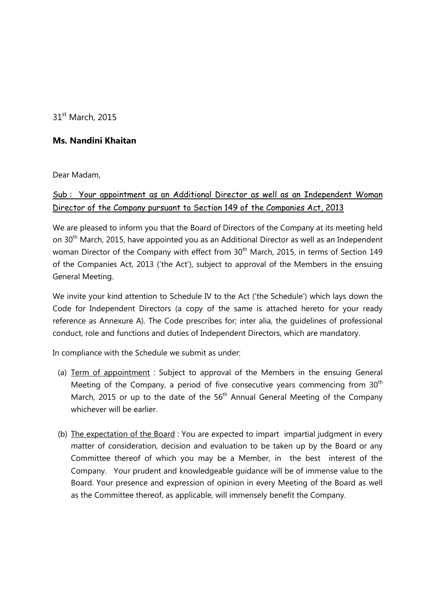31<sup>st</sup> March, 2015

## Ms. Nandini Khaitan

Dear Madam,

## Sub : Your appointment as an Additional Director as well as an Independent Woman Director of the Company pursuant to Section 149 of the Companies Act, 2013

We are pleased to inform you that the Board of Directors of the Company at its meeting held on 30<sup>th</sup> March, 2015, have appointed you as an Additional Director as well as an Independent woman Director of the Company with effect from 30<sup>th</sup> March, 2015, in terms of Section 149 of the Companies Act, 2013 ('the Act'), subject to approval of the Members in the ensuing General Meeting.

We invite your kind attention to Schedule IV to the Act ('the Schedule') which lays down the Code for Independent Directors (a copy of the same is attached hereto for your ready reference as Annexure A). The Code prescribes for; inter alia, the guidelines of professional conduct, role and functions and duties of Independent Directors, which are mandatory.

In compliance with the Schedule we submit as under:

- (a) Term of appointment : Subject to approval of the Members in the ensuing General Meeting of the Company, a period of five consecutive years commencing from  $30<sup>th</sup>$ March, 2015 or up to the date of the  $56<sup>th</sup>$  Annual General Meeting of the Company whichever will be earlier.
- (b) The expectation of the Board : You are expected to impart impartial judgment in every matter of consideration, decision and evaluation to be taken up by the Board or any Committee thereof of which you may be a Member, in the best interest of the Company. Your prudent and knowledgeable guidance will be of immense value to the Board. Your presence and expression of opinion in every Meeting of the Board as well as the Committee thereof, as applicable, will immensely benefit the Company.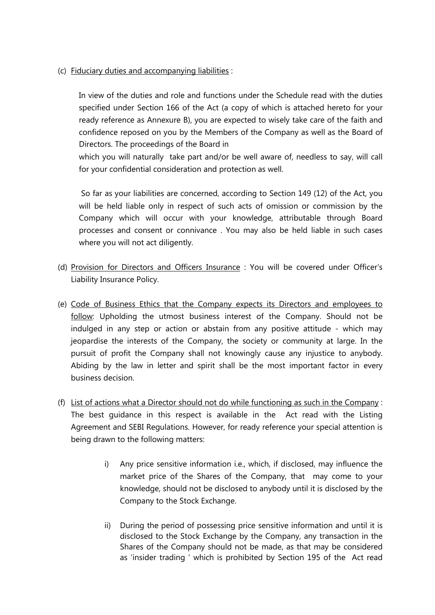(c) Fiduciary duties and accompanying liabilities :

In view of the duties and role and functions under the Schedule read with the duties specified under Section 166 of the Act (a copy of which is attached hereto for your ready reference as Annexure B), you are expected to wisely take care of the faith and confidence reposed on you by the Members of the Company as well as the Board of Directors. The proceedings of the Board in

which you will naturally take part and/or be well aware of, needless to say, will call for your confidential consideration and protection as well.

 So far as your liabilities are concerned, according to Section 149 (12) of the Act, you will be held liable only in respect of such acts of omission or commission by the Company which will occur with your knowledge, attributable through Board processes and consent or connivance . You may also be held liable in such cases where you will not act diligently.

- (d) Provision for Directors and Officers Insurance : You will be covered under Officer's Liability Insurance Policy.
- (e) Code of Business Ethics that the Company expects its Directors and employees to follow: Upholding the utmost business interest of the Company. Should not be indulged in any step or action or abstain from any positive attitude - which may jeopardise the interests of the Company, the society or community at large. In the pursuit of profit the Company shall not knowingly cause any injustice to anybody. Abiding by the law in letter and spirit shall be the most important factor in every business decision.
- (f) List of actions what a Director should not do while functioning as such in the Company : The best guidance in this respect is available in the Act read with the Listing Agreement and SEBI Regulations. However, for ready reference your special attention is being drawn to the following matters:
	- i) Any price sensitive information i.e., which, if disclosed, may influence the market price of the Shares of the Company, that may come to your knowledge, should not be disclosed to anybody until it is disclosed by the Company to the Stock Exchange.
	- ii) During the period of possessing price sensitive information and until it is disclosed to the Stock Exchange by the Company, any transaction in the Shares of the Company should not be made, as that may be considered as 'insider trading ' which is prohibited by Section 195 of the Act read